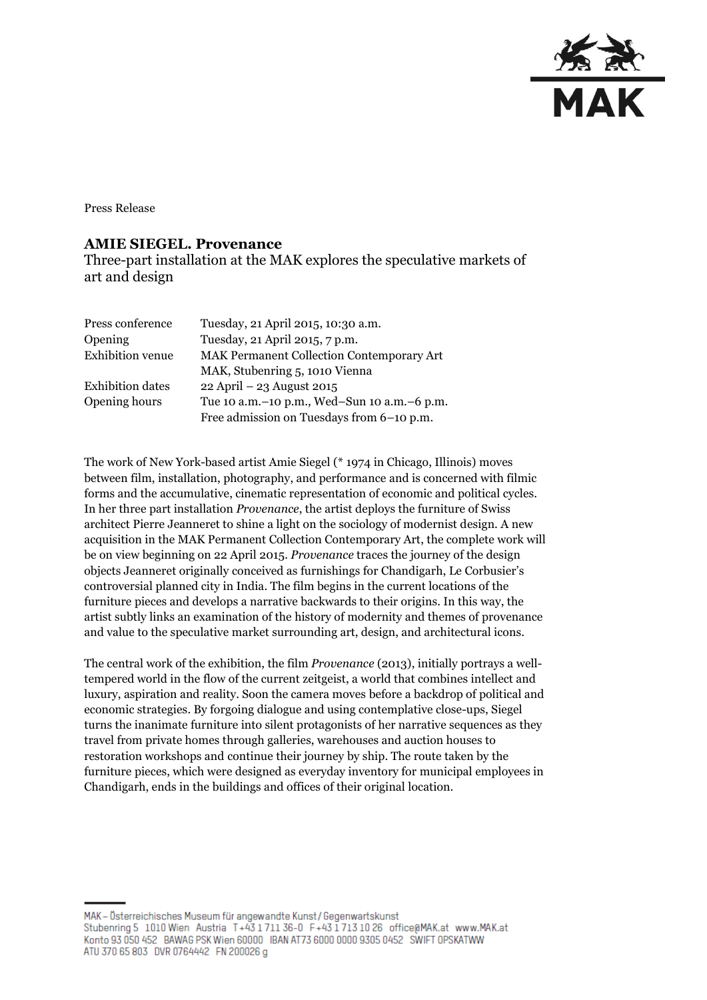

Press Release

## **AMIE SIEGEL. Provenance**

Three-part installation at the MAK explores the speculative markets of art and design

| Press conference        | Tuesday, 21 April 2015, 10:30 a.m.               |
|-------------------------|--------------------------------------------------|
| Opening                 | Tuesday, 21 April 2015, 7 p.m.                   |
| <b>Exhibition</b> venue | <b>MAK Permanent Collection Contemporary Art</b> |
|                         | MAK, Stubenring 5, 1010 Vienna                   |
| <b>Exhibition</b> dates | 22 April - 23 August 2015                        |
| Opening hours           | Tue 10 a.m. - 10 p.m., Wed-Sun 10 a.m. - 6 p.m.  |
|                         | Free admission on Tuesdays from 6-10 p.m.        |

The work of New York-based artist Amie Siegel (\* 1974 in Chicago, Illinois) moves between film, installation, photography, and performance and is concerned with filmic forms and the accumulative, cinematic representation of economic and political cycles. In her three part installation *Provenance*, the artist deploys the furniture of Swiss architect Pierre Jeanneret to shine a light on the sociology of modernist design. A new acquisition in the MAK Permanent Collection Contemporary Art, the complete work will be on view beginning on 22 April 2015. *Provenance* traces the journey of the design objects Jeanneret originally conceived as furnishings for Chandigarh, Le Corbusier's controversial planned city in India. The film begins in the current locations of the furniture pieces and develops a narrative backwards to their origins. In this way, the artist subtly links an examination of the history of modernity and themes of provenance and value to the speculative market surrounding art, design, and architectural icons.

The central work of the exhibition, the film *Provenance* (2013), initially portrays a welltempered world in the flow of the current zeitgeist, a world that combines intellect and luxury, aspiration and reality. Soon the camera moves before a backdrop of political and economic strategies. By forgoing dialogue and using contemplative close-ups, Siegel turns the inanimate furniture into silent protagonists of her narrative sequences as they travel from private homes through galleries, warehouses and auction houses to restoration workshops and continue their journey by ship. The route taken by the furniture pieces, which were designed as everyday inventory for municipal employees in Chandigarh, ends in the buildings and offices of their original location.

MAK - Österreichisches Museum für angewandte Kunst/Gegenwartskunst Stubenring 5 1010 Wien Austria T+43 1711 36-0 F+43 1713 10 26 office@MAK.at www.MAK.at Konto 93 050 452 BAWAG PSK Wien 60000 IBAN AT73 6000 0000 9305 0452 SWIFT OPSKATWW ATU 370 65 803 DVR 0764442 FN 200026 g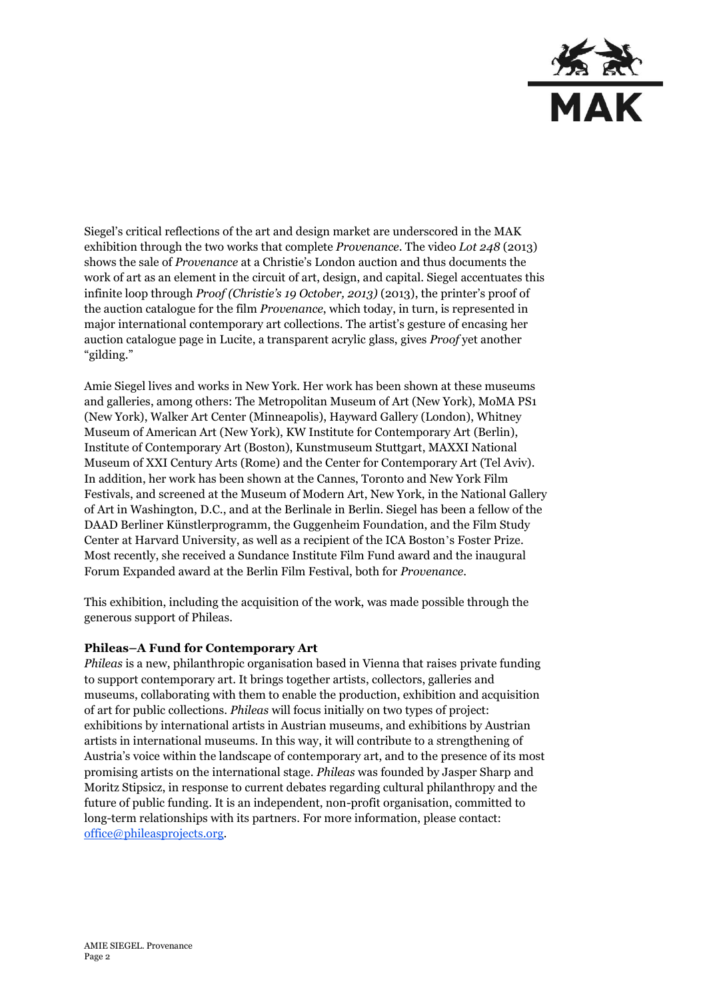

Siegel's critical reflections of the art and design market are underscored in the MAK exhibition through the two works that complete *Provenance*. The video *Lot 248* (2013) shows the sale of *Provenance* at a Christie's London auction and thus documents the work of art as an element in the circuit of art, design, and capital. Siegel accentuates this infinite loop through *Proof (Christie's 19 October, 2013)* (2013), the printer's proof of the auction catalogue for the film *Provenance*, which today, in turn, is represented in major international contemporary art collections. The artist's gesture of encasing her auction catalogue page in Lucite, a transparent acrylic glass, gives *Proof* yet another "gilding."

Amie Siegel lives and works in New York. Her work has been shown at these museums and galleries, among others: The Metropolitan Museum of Art (New York), MoMA PS1 (New York), Walker Art Center (Minneapolis), Hayward Gallery (London), Whitney Museum of American Art (New York), KW Institute for Contemporary Art (Berlin), Institute of Contemporary Art (Boston), Kunstmuseum Stuttgart, MAXXI National Museum of XXI Century Arts (Rome) and the Center for Contemporary Art (Tel Aviv). In addition, her work has been shown at the Cannes, Toronto and New York Film Festivals, and screened at the Museum of Modern Art, New York, in the National Gallery of Art in Washington, D.C., and at the Berlinale in Berlin. Siegel has been a fellow of the DAAD Berliner Künstlerprogramm, the Guggenheim Foundation, and the Film Study Center at Harvard University, as well as a recipient of the ICA Boston's Foster Prize. Most recently, she received a Sundance Institute Film Fund award and the inaugural Forum Expanded award at the Berlin Film Festival, both for *Provenance*.

This exhibition, including the acquisition of the work, was made possible through the generous support of Phileas.

## **Phileas–A Fund for Contemporary Art**

*Phileas* is a new, philanthropic organisation based in Vienna that raises private funding to support contemporary art. It brings together artists, collectors, galleries and museums, collaborating with them to enable the production, exhibition and acquisition of art for public collections. *Phileas* will focus initially on two types of project: exhibitions by international artists in Austrian museums, and exhibitions by Austrian artists in international museums. In this way, it will contribute to a strengthening of Austria's voice within the landscape of contemporary art, and to the presence of its most promising artists on the international stage. *Phileas* was founded by Jasper Sharp and Moritz Stipsicz, in response to current debates regarding cultural philanthropy and the future of public funding. It is an independent, non-profit organisation, committed to long-term relationships with its partners. For more information, please contact: [office@phileasprojects.org.](mailto:office@phileasprojects.org)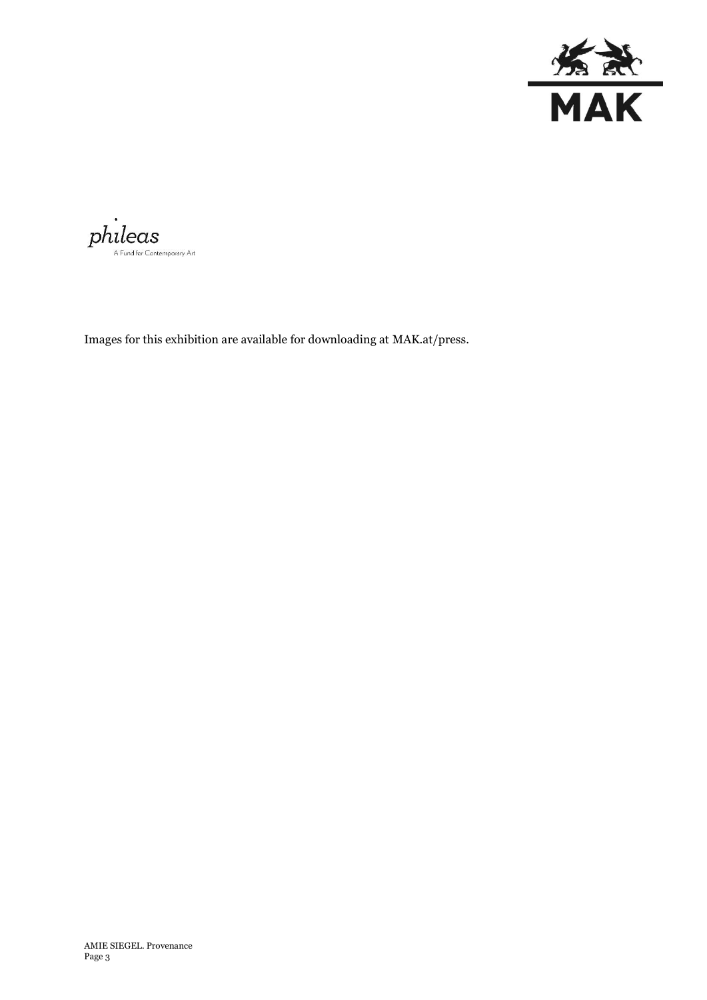

 $\dot{philecas}$ 

Images for this exhibition are available for downloading at MAK.at/press.